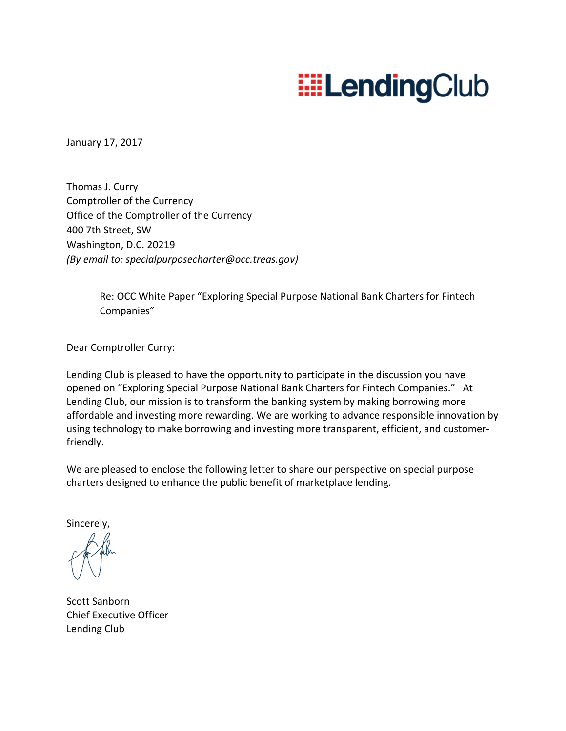# **EELendingClub**

January 17, 2017

Thomas J. Curry Comptroller of the Currency Office of the Comptroller of the Currency 400 7th Street, SW Washington, D.C. 20219 *(By email to: specialpurposecharter@occ.treas.gov)* 

> Re: OCC White Paper "Exploring Special Purpose National Bank Charters for Fintech Companies"

Dear Comptroller Curry:

Lending Club is pleased to have the opportunity to participate in the discussion you have opened on "Exploring Special Purpose National Bank Charters for Fintech Companies." At Lending Club, our mission is to transform the banking system by making borrowing more affordable and investing more rewarding. We are working to advance responsible innovation by using technology to make borrowing and investing more transparent, efficient, and customerfriendly.

We are pleased to enclose the following letter to share our perspective on special purpose charters designed to enhance the public benefit of marketplace lending.

Sincerely,

Scott Sanborn Chief Executive Officer Lending Club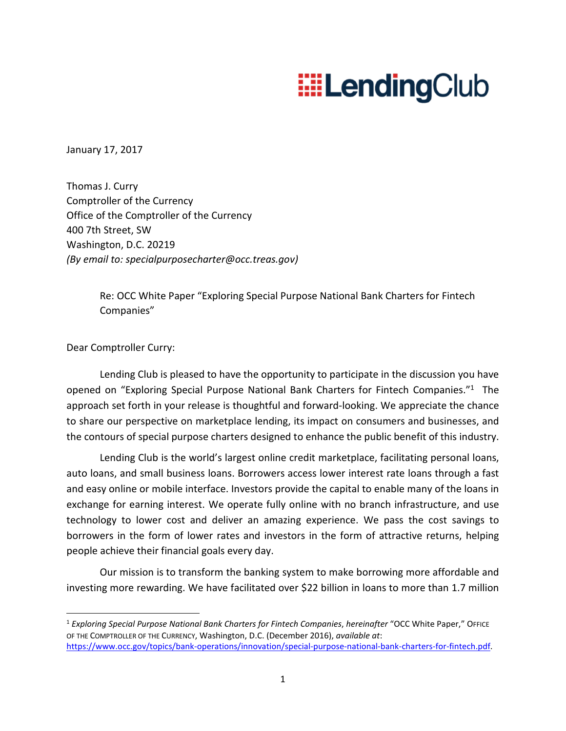# **EELendingClub**

January 17, 2017

Thomas J. Curry Comptroller of the Currency Office of the Comptroller of the Currency 400 7th Street, SW Washington, D.C. 20219 *(By email to: specialpurposecharter@occ.treas.gov)* 

> Re: OCC White Paper "Exploring Special Purpose National Bank Charters for Fintech Companies"

Dear Comptroller Curry:

.<br>-

Lending Club is pleased to have the opportunity to participate in the discussion you have opened on "Exploring Special Purpose National Bank Charters for Fintech Companies."<sup>1</sup> The approach set forth in your release is thoughtful and forward-looking. We appreciate the chance to share our perspective on marketplace lending, its impact on consumers and businesses, and the contours of special purpose charters designed to enhance the public benefit of this industry.

Lending Club is the world's largest online credit marketplace, facilitating personal loans, auto loans, and small business loans. Borrowers access lower interest rate loans through a fast and easy online or mobile interface. Investors provide the capital to enable many of the loans in exchange for earning interest. We operate fully online with no branch infrastructure, and use technology to lower cost and deliver an amazing experience. We pass the cost savings to borrowers in the form of lower rates and investors in the form of attractive returns, helping people achieve their financial goals every day.

Our mission is to transform the banking system to make borrowing more affordable and investing more rewarding. We have facilitated over \$22 billion in loans to more than 1.7 million

<sup>1</sup> *Exploring Special Purpose National Bank Charters for Fintech Companies*, *hereinafter* "OCC White Paper," OFFICE OF THE COMPTROLLER OF THE CURRENCY, Washington, D.C. (December 2016), *available at*: https://www.occ.gov/topics/bank-operations/innovation/special-purpose-national-bank-charters-for-fintech.pdf.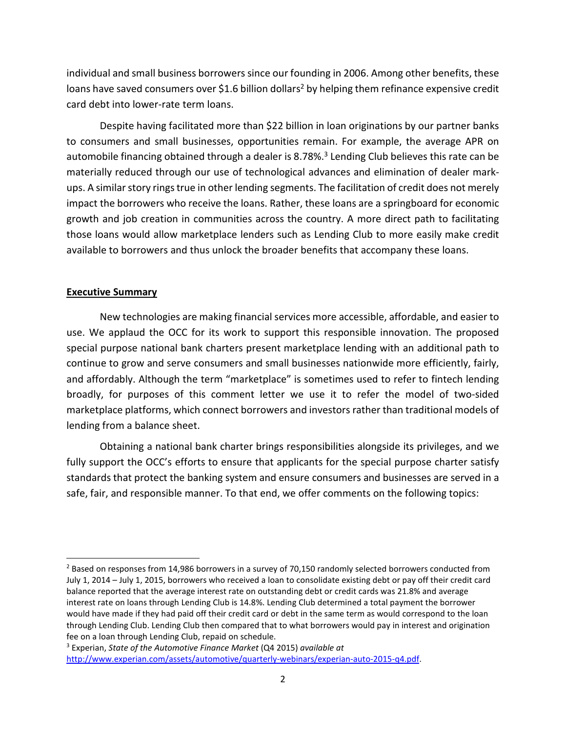individual and small business borrowers since our founding in 2006. Among other benefits, these loans have saved consumers over \$1.6 billion dollars<sup>2</sup> by helping them refinance expensive credit card debt into lower-rate term loans.

Despite having facilitated more than \$22 billion in loan originations by our partner banks to consumers and small businesses, opportunities remain. For example, the average APR on automobile financing obtained through a dealer is 8.78%.<sup>3</sup> Lending Club believes this rate can be materially reduced through our use of technological advances and elimination of dealer markups. A similar story rings true in other lending segments. The facilitation of credit does not merely impact the borrowers who receive the loans. Rather, these loans are a springboard for economic growth and job creation in communities across the country. A more direct path to facilitating those loans would allow marketplace lenders such as Lending Club to more easily make credit available to borrowers and thus unlock the broader benefits that accompany these loans.

## **Executive Summary**

<u>.</u>

New technologies are making financial services more accessible, affordable, and easier to use. We applaud the OCC for its work to support this responsible innovation. The proposed special purpose national bank charters present marketplace lending with an additional path to continue to grow and serve consumers and small businesses nationwide more efficiently, fairly, and affordably. Although the term "marketplace" is sometimes used to refer to fintech lending broadly, for purposes of this comment letter we use it to refer the model of two-sided marketplace platforms, which connect borrowers and investors rather than traditional models of lending from a balance sheet.

Obtaining a national bank charter brings responsibilities alongside its privileges, and we fully support the OCC's efforts to ensure that applicants for the special purpose charter satisfy standards that protect the banking system and ensure consumers and businesses are served in a safe, fair, and responsible manner. To that end, we offer comments on the following topics:

<sup>&</sup>lt;sup>2</sup> Based on responses from 14,986 borrowers in a survey of 70,150 randomly selected borrowers conducted from July 1, 2014 – July 1, 2015, borrowers who received a loan to consolidate existing debt or pay off their credit card balance reported that the average interest rate on outstanding debt or credit cards was 21.8% and average interest rate on loans through Lending Club is 14.8%. Lending Club determined a total payment the borrower would have made if they had paid off their credit card or debt in the same term as would correspond to the loan through Lending Club. Lending Club then compared that to what borrowers would pay in interest and origination fee on a loan through Lending Club, repaid on schedule.

<sup>3</sup> Experian, *State of the Automotive Finance Market* (Q4 2015) *available at*  http://www.experian.com/assets/automotive/quarterly-webinars/experian-auto-2015-q4.pdf.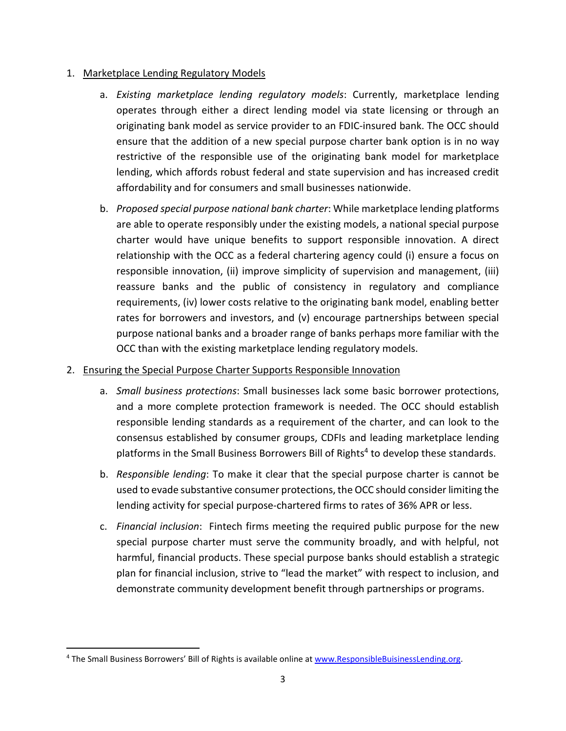## 1. Marketplace Lending Regulatory Models

- a. *Existing marketplace lending regulatory models*: Currently, marketplace lending operates through either a direct lending model via state licensing or through an originating bank model as service provider to an FDIC-insured bank. The OCC should ensure that the addition of a new special purpose charter bank option is in no way restrictive of the responsible use of the originating bank model for marketplace lending, which affords robust federal and state supervision and has increased credit affordability and for consumers and small businesses nationwide.
- b. *Proposed special purpose national bank charter*: While marketplace lending platforms are able to operate responsibly under the existing models, a national special purpose charter would have unique benefits to support responsible innovation. A direct relationship with the OCC as a federal chartering agency could (i) ensure a focus on responsible innovation, (ii) improve simplicity of supervision and management, (iii) reassure banks and the public of consistency in regulatory and compliance requirements, (iv) lower costs relative to the originating bank model, enabling better rates for borrowers and investors, and (v) encourage partnerships between special purpose national banks and a broader range of banks perhaps more familiar with the OCC than with the existing marketplace lending regulatory models.

## 2. Ensuring the Special Purpose Charter Supports Responsible Innovation

- a. *Small business protections*: Small businesses lack some basic borrower protections, and a more complete protection framework is needed. The OCC should establish responsible lending standards as a requirement of the charter, and can look to the consensus established by consumer groups, CDFIs and leading marketplace lending platforms in the Small Business Borrowers Bill of Rights<sup>4</sup> to develop these standards.
- b. *Responsible lending*: To make it clear that the special purpose charter is cannot be used to evade substantive consumer protections, the OCC should consider limiting the lending activity for special purpose-chartered firms to rates of 36% APR or less.
- c. *Financial inclusion*: Fintech firms meeting the required public purpose for the new special purpose charter must serve the community broadly, and with helpful, not harmful, financial products. These special purpose banks should establish a strategic plan for financial inclusion, strive to "lead the market" with respect to inclusion, and demonstrate community development benefit through partnerships or programs.

.<br>-

<sup>&</sup>lt;sup>4</sup> The Small Business Borrowers' Bill of Rights is available online at www.ResponsibleBuisinessLending.org.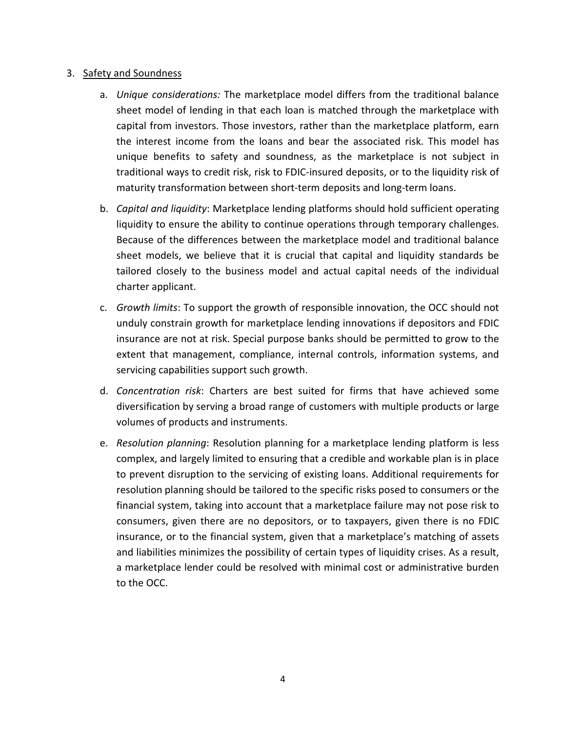### 3. Safety and Soundness

- a. *Unique considerations:* The marketplace model differs from the traditional balance sheet model of lending in that each loan is matched through the marketplace with capital from investors. Those investors, rather than the marketplace platform, earn the interest income from the loans and bear the associated risk. This model has unique benefits to safety and soundness, as the marketplace is not subject in traditional ways to credit risk, risk to FDIC-insured deposits, or to the liquidity risk of maturity transformation between short-term deposits and long-term loans.
- b. *Capital and liquidity*: Marketplace lending platforms should hold sufficient operating liquidity to ensure the ability to continue operations through temporary challenges. Because of the differences between the marketplace model and traditional balance sheet models, we believe that it is crucial that capital and liquidity standards be tailored closely to the business model and actual capital needs of the individual charter applicant.
- c. *Growth limits*: To support the growth of responsible innovation, the OCC should not unduly constrain growth for marketplace lending innovations if depositors and FDIC insurance are not at risk. Special purpose banks should be permitted to grow to the extent that management, compliance, internal controls, information systems, and servicing capabilities support such growth.
- d. *Concentration risk*: Charters are best suited for firms that have achieved some diversification by serving a broad range of customers with multiple products or large volumes of products and instruments.
- e. *Resolution planning*: Resolution planning for a marketplace lending platform is less complex, and largely limited to ensuring that a credible and workable plan is in place to prevent disruption to the servicing of existing loans. Additional requirements for resolution planning should be tailored to the specific risks posed to consumers or the financial system, taking into account that a marketplace failure may not pose risk to consumers, given there are no depositors, or to taxpayers, given there is no FDIC insurance, or to the financial system, given that a marketplace's matching of assets and liabilities minimizes the possibility of certain types of liquidity crises. As a result, a marketplace lender could be resolved with minimal cost or administrative burden to the OCC.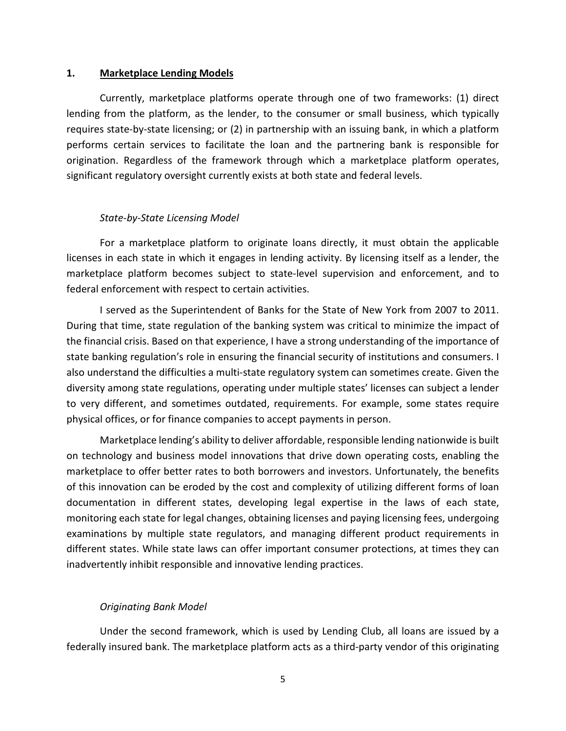#### **1. Marketplace Lending Models**

Currently, marketplace platforms operate through one of two frameworks: (1) direct lending from the platform, as the lender, to the consumer or small business, which typically requires state-by-state licensing; or (2) in partnership with an issuing bank, in which a platform performs certain services to facilitate the loan and the partnering bank is responsible for origination. Regardless of the framework through which a marketplace platform operates, significant regulatory oversight currently exists at both state and federal levels.

#### *State-by-State Licensing Model*

For a marketplace platform to originate loans directly, it must obtain the applicable licenses in each state in which it engages in lending activity. By licensing itself as a lender, the marketplace platform becomes subject to state-level supervision and enforcement, and to federal enforcement with respect to certain activities.

I served as the Superintendent of Banks for the State of New York from 2007 to 2011. During that time, state regulation of the banking system was critical to minimize the impact of the financial crisis. Based on that experience, I have a strong understanding of the importance of state banking regulation's role in ensuring the financial security of institutions and consumers. I also understand the difficulties a multi-state regulatory system can sometimes create. Given the diversity among state regulations, operating under multiple states' licenses can subject a lender to very different, and sometimes outdated, requirements. For example, some states require physical offices, or for finance companies to accept payments in person.

Marketplace lending's ability to deliver affordable, responsible lending nationwide is built on technology and business model innovations that drive down operating costs, enabling the marketplace to offer better rates to both borrowers and investors. Unfortunately, the benefits of this innovation can be eroded by the cost and complexity of utilizing different forms of loan documentation in different states, developing legal expertise in the laws of each state, monitoring each state for legal changes, obtaining licenses and paying licensing fees, undergoing examinations by multiple state regulators, and managing different product requirements in different states. While state laws can offer important consumer protections, at times they can inadvertently inhibit responsible and innovative lending practices.

### *Originating Bank Model*

Under the second framework, which is used by Lending Club, all loans are issued by a federally insured bank. The marketplace platform acts as a third-party vendor of this originating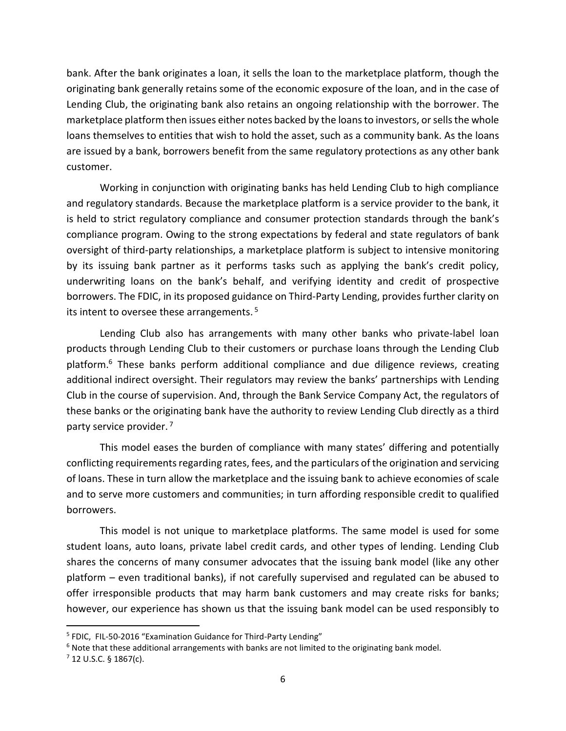bank. After the bank originates a loan, it sells the loan to the marketplace platform, though the originating bank generally retains some of the economic exposure of the loan, and in the case of Lending Club, the originating bank also retains an ongoing relationship with the borrower. The marketplace platform then issues either notes backed by the loans to investors, or sells the whole loans themselves to entities that wish to hold the asset, such as a community bank. As the loans are issued by a bank, borrowers benefit from the same regulatory protections as any other bank customer.

Working in conjunction with originating banks has held Lending Club to high compliance and regulatory standards. Because the marketplace platform is a service provider to the bank, it is held to strict regulatory compliance and consumer protection standards through the bank's compliance program. Owing to the strong expectations by federal and state regulators of bank oversight of third-party relationships, a marketplace platform is subject to intensive monitoring by its issuing bank partner as it performs tasks such as applying the bank's credit policy, underwriting loans on the bank's behalf, and verifying identity and credit of prospective borrowers. The FDIC, in its proposed guidance on Third-Party Lending, provides further clarity on its intent to oversee these arrangements.<sup>5</sup>

Lending Club also has arrangements with many other banks who private-label loan products through Lending Club to their customers or purchase loans through the Lending Club platform.<sup>6</sup> These banks perform additional compliance and due diligence reviews, creating additional indirect oversight. Their regulators may review the banks' partnerships with Lending Club in the course of supervision. And, through the Bank Service Company Act, the regulators of these banks or the originating bank have the authority to review Lending Club directly as a third party service provider.<sup>7</sup>

This model eases the burden of compliance with many states' differing and potentially conflicting requirements regarding rates, fees, and the particulars of the origination and servicing of loans. These in turn allow the marketplace and the issuing bank to achieve economies of scale and to serve more customers and communities; in turn affording responsible credit to qualified borrowers.

This model is not unique to marketplace platforms. The same model is used for some student loans, auto loans, private label credit cards, and other types of lending. Lending Club shares the concerns of many consumer advocates that the issuing bank model (like any other platform – even traditional banks), if not carefully supervised and regulated can be abused to offer irresponsible products that may harm bank customers and may create risks for banks; however, our experience has shown us that the issuing bank model can be used responsibly to

.<br>-

<sup>&</sup>lt;sup>5</sup> FDIC, FIL-50-2016 "Examination Guidance for Third-Party Lending"

<sup>&</sup>lt;sup>6</sup> Note that these additional arrangements with banks are not limited to the originating bank model.

 $7$  12 U.S.C. § 1867(c).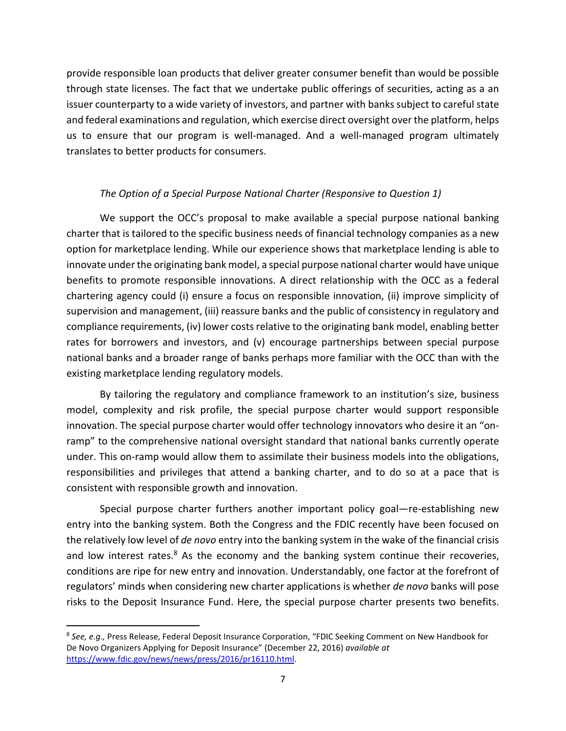provide responsible loan products that deliver greater consumer benefit than would be possible through state licenses. The fact that we undertake public offerings of securities, acting as a an issuer counterparty to a wide variety of investors, and partner with banks subject to careful state and federal examinations and regulation, which exercise direct oversight over the platform, helps us to ensure that our program is well-managed. And a well-managed program ultimately translates to better products for consumers.

## *The Option of a Special Purpose National Charter (Responsive to Question 1)*

We support the OCC's proposal to make available a special purpose national banking charter that is tailored to the specific business needs of financial technology companies as a new option for marketplace lending. While our experience shows that marketplace lending is able to innovate under the originating bank model, a special purpose national charter would have unique benefits to promote responsible innovations. A direct relationship with the OCC as a federal chartering agency could (i) ensure a focus on responsible innovation, (ii) improve simplicity of supervision and management, (iii) reassure banks and the public of consistency in regulatory and compliance requirements, (iv) lower costs relative to the originating bank model, enabling better rates for borrowers and investors, and (v) encourage partnerships between special purpose national banks and a broader range of banks perhaps more familiar with the OCC than with the existing marketplace lending regulatory models.

By tailoring the regulatory and compliance framework to an institution's size, business model, complexity and risk profile, the special purpose charter would support responsible innovation. The special purpose charter would offer technology innovators who desire it an "onramp" to the comprehensive national oversight standard that national banks currently operate under. This on-ramp would allow them to assimilate their business models into the obligations, responsibilities and privileges that attend a banking charter, and to do so at a pace that is consistent with responsible growth and innovation.

Special purpose charter furthers another important policy goal—re-establishing new entry into the banking system. Both the Congress and the FDIC recently have been focused on the relatively low level of *de novo* entry into the banking system in the wake of the financial crisis and low interest rates.<sup>8</sup> As the economy and the banking system continue their recoveries, conditions are ripe for new entry and innovation. Understandably, one factor at the forefront of regulators' minds when considering new charter applications is whether *de novo* banks will pose risks to the Deposit Insurance Fund. Here, the special purpose charter presents two benefits.

.<br>-

<sup>8</sup> *See, e.g.,* Press Release, Federal Deposit Insurance Corporation, "FDIC Seeking Comment on New Handbook for De Novo Organizers Applying for Deposit Insurance" (December 22, 2016) *available at*  https://www.fdic.gov/news/news/press/2016/pr16110.html.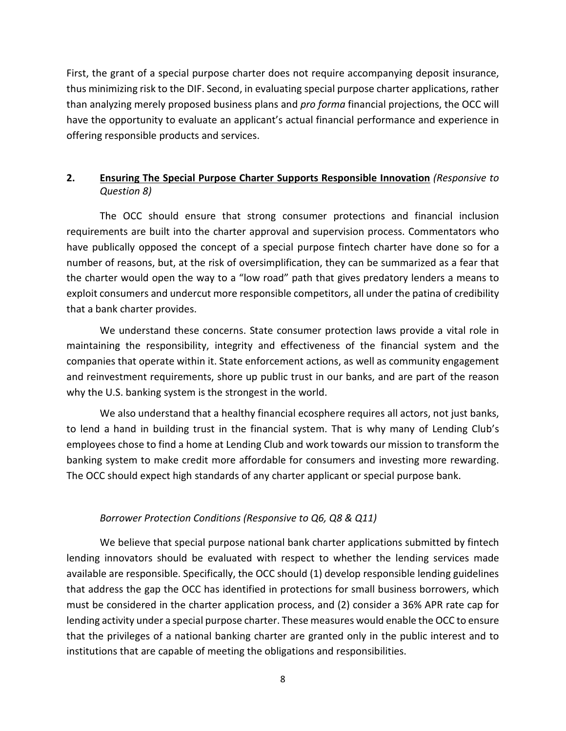First, the grant of a special purpose charter does not require accompanying deposit insurance, thus minimizing risk to the DIF. Second, in evaluating special purpose charter applications, rather than analyzing merely proposed business plans and *pro forma* financial projections, the OCC will have the opportunity to evaluate an applicant's actual financial performance and experience in offering responsible products and services.

## **2. Ensuring The Special Purpose Charter Supports Responsible Innovation** *(Responsive to Question 8)*

The OCC should ensure that strong consumer protections and financial inclusion requirements are built into the charter approval and supervision process. Commentators who have publically opposed the concept of a special purpose fintech charter have done so for a number of reasons, but, at the risk of oversimplification, they can be summarized as a fear that the charter would open the way to a "low road" path that gives predatory lenders a means to exploit consumers and undercut more responsible competitors, all under the patina of credibility that a bank charter provides.

We understand these concerns. State consumer protection laws provide a vital role in maintaining the responsibility, integrity and effectiveness of the financial system and the companies that operate within it. State enforcement actions, as well as community engagement and reinvestment requirements, shore up public trust in our banks, and are part of the reason why the U.S. banking system is the strongest in the world.

We also understand that a healthy financial ecosphere requires all actors, not just banks, to lend a hand in building trust in the financial system. That is why many of Lending Club's employees chose to find a home at Lending Club and work towards our mission to transform the banking system to make credit more affordable for consumers and investing more rewarding. The OCC should expect high standards of any charter applicant or special purpose bank.

### *Borrower Protection Conditions (Responsive to Q6, Q8 & Q11)*

We believe that special purpose national bank charter applications submitted by fintech lending innovators should be evaluated with respect to whether the lending services made available are responsible. Specifically, the OCC should (1) develop responsible lending guidelines that address the gap the OCC has identified in protections for small business borrowers, which must be considered in the charter application process, and (2) consider a 36% APR rate cap for lending activity under a special purpose charter. These measures would enable the OCC to ensure that the privileges of a national banking charter are granted only in the public interest and to institutions that are capable of meeting the obligations and responsibilities.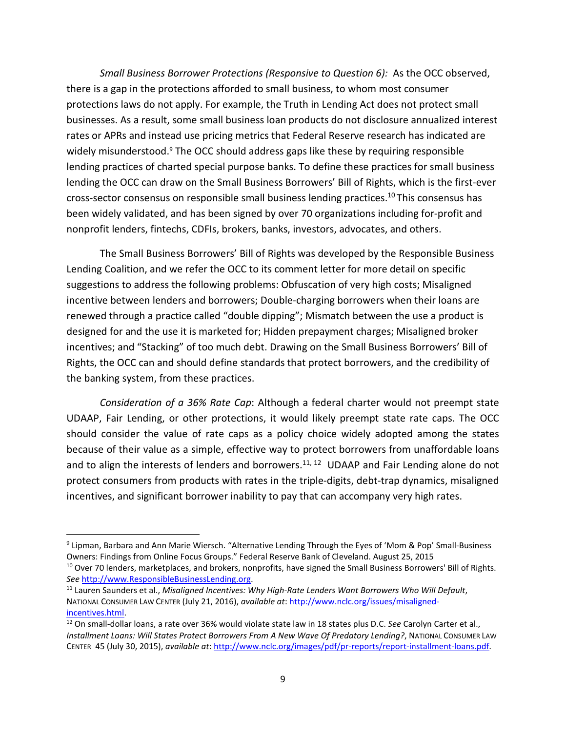*Small Business Borrower Protections (Responsive to Question 6):* As the OCC observed, there is a gap in the protections afforded to small business, to whom most consumer protections laws do not apply. For example, the Truth in Lending Act does not protect small businesses. As a result, some small business loan products do not disclosure annualized interest rates or APRs and instead use pricing metrics that Federal Reserve research has indicated are widely misunderstood.<sup>9</sup> The OCC should address gaps like these by requiring responsible lending practices of charted special purpose banks. To define these practices for small business lending the OCC can draw on the Small Business Borrowers' Bill of Rights, which is the first-ever cross-sector consensus on responsible small business lending practices.<sup>10</sup>This consensus has been widely validated, and has been signed by over 70 organizations including for-profit and nonprofit lenders, fintechs, CDFIs, brokers, banks, investors, advocates, and others.

The Small Business Borrowers' Bill of Rights was developed by the Responsible Business Lending Coalition, and we refer the OCC to its comment letter for more detail on specific suggestions to address the following problems: Obfuscation of very high costs; Misaligned incentive between lenders and borrowers; Double-charging borrowers when their loans are renewed through a practice called "double dipping"; Mismatch between the use a product is designed for and the use it is marketed for; Hidden prepayment charges; Misaligned broker incentives; and "Stacking" of too much debt. Drawing on the Small Business Borrowers' Bill of Rights, the OCC can and should define standards that protect borrowers, and the credibility of the banking system, from these practices.

*Consideration of a 36% Rate Cap*: Although a federal charter would not preempt state UDAAP, Fair Lending, or other protections, it would likely preempt state rate caps. The OCC should consider the value of rate caps as a policy choice widely adopted among the states because of their value as a simple, effective way to protect borrowers from unaffordable loans and to align the interests of lenders and borrowers.<sup>11, 12</sup> UDAAP and Fair Lending alone do not protect consumers from products with rates in the triple-digits, debt-trap dynamics, misaligned incentives, and significant borrower inability to pay that can accompany very high rates.

-

<sup>&</sup>lt;sup>9</sup> Lipman, Barbara and Ann Marie Wiersch. "Alternative Lending Through the Eyes of 'Mom & Pop' Small-Business Owners: Findings from Online Focus Groups." Federal Reserve Bank of Cleveland. August 25, 2015 <sup>10</sup> Over 70 lenders, marketplaces, and brokers, nonprofits, have signed the Small Business Borrowers' Bill of Rights. *See* http://www.ResponsibleBusinessLending.org.

<sup>11</sup> Lauren Saunders et al., *Misaligned Incentives: Why High-Rate Lenders Want Borrowers Who Will Default*, NATIONAL CONSUMER LAW CENTER (July 21, 2016), *available at*: http://www.nclc.org/issues/misalignedincentives.html.

<sup>12</sup> On small-dollar loans, a rate over 36% would violate state law in 18 states plus D.C. *See* Carolyn Carter et al., *Installment Loans: Will States Protect Borrowers From A New Wave Of Predatory Lending?*, NATIONAL CONSUMER LAW CENTER 45 (July 30, 2015), *available at*: http://www.nclc.org/images/pdf/pr-reports/report-installment-loans.pdf.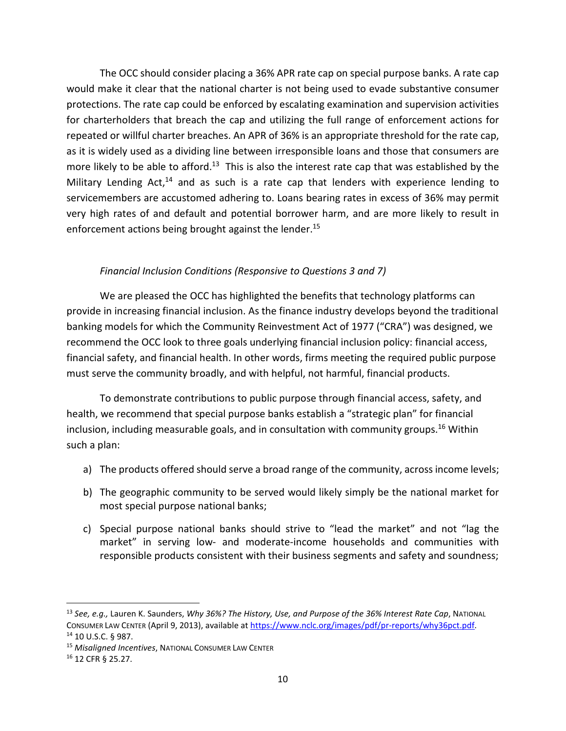The OCC should consider placing a 36% APR rate cap on special purpose banks. A rate cap would make it clear that the national charter is not being used to evade substantive consumer protections. The rate cap could be enforced by escalating examination and supervision activities for charterholders that breach the cap and utilizing the full range of enforcement actions for repeated or willful charter breaches. An APR of 36% is an appropriate threshold for the rate cap, as it is widely used as a dividing line between irresponsible loans and those that consumers are more likely to be able to afford.<sup>13</sup> This is also the interest rate cap that was established by the Military Lending Act, $14$  and as such is a rate cap that lenders with experience lending to servicemembers are accustomed adhering to. Loans bearing rates in excess of 36% may permit very high rates of and default and potential borrower harm, and are more likely to result in enforcement actions being brought against the lender.<sup>15</sup>

## *Financial Inclusion Conditions (Responsive to Questions 3 and 7)*

We are pleased the OCC has highlighted the benefits that technology platforms can provide in increasing financial inclusion. As the finance industry develops beyond the traditional banking models for which the Community Reinvestment Act of 1977 ("CRA") was designed, we recommend the OCC look to three goals underlying financial inclusion policy: financial access, financial safety, and financial health. In other words, firms meeting the required public purpose must serve the community broadly, and with helpful, not harmful, financial products.

To demonstrate contributions to public purpose through financial access, safety, and health, we recommend that special purpose banks establish a "strategic plan" for financial inclusion, including measurable goals, and in consultation with community groups.<sup>16</sup> Within such a plan:

- a) The products offered should serve a broad range of the community, across income levels;
- b) The geographic community to be served would likely simply be the national market for most special purpose national banks;
- c) Special purpose national banks should strive to "lead the market" and not "lag the market" in serving low- and moderate-income households and communities with responsible products consistent with their business segments and safety and soundness;

<u>.</u>

<sup>13</sup> *See, e.g.,* Lauren K. Saunders, *Why 36%? The History, Use, and Purpose of the 36% Interest Rate Cap*, NATIONAL CONSUMER LAW CENTER (April 9, 2013), available at https://www.nclc.org/images/pdf/pr-reports/why36pct.pdf. <sup>14</sup> 10 U.S.C. § 987.

<sup>15</sup> *Misaligned Incentives*, NATIONAL CONSUMER LAW CENTER

<sup>16</sup> 12 CFR § 25.27.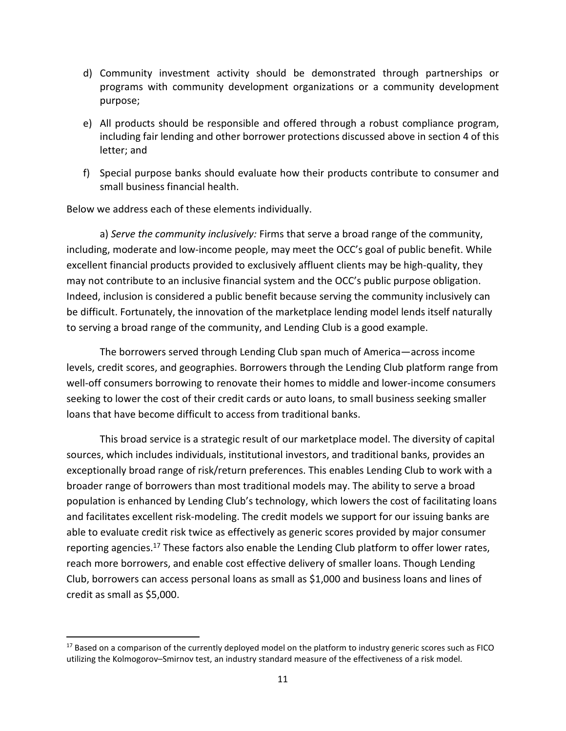- d) Community investment activity should be demonstrated through partnerships or programs with community development organizations or a community development purpose;
- e) All products should be responsible and offered through a robust compliance program, including fair lending and other borrower protections discussed above in section 4 of this letter; and
- f) Special purpose banks should evaluate how their products contribute to consumer and small business financial health.

Below we address each of these elements individually.

<u>.</u>

a) *Serve the community inclusively:* Firms that serve a broad range of the community, including, moderate and low-income people, may meet the OCC's goal of public benefit. While excellent financial products provided to exclusively affluent clients may be high-quality, they may not contribute to an inclusive financial system and the OCC's public purpose obligation. Indeed, inclusion is considered a public benefit because serving the community inclusively can be difficult. Fortunately, the innovation of the marketplace lending model lends itself naturally to serving a broad range of the community, and Lending Club is a good example.

The borrowers served through Lending Club span much of America—across income levels, credit scores, and geographies. Borrowers through the Lending Club platform range from well-off consumers borrowing to renovate their homes to middle and lower-income consumers seeking to lower the cost of their credit cards or auto loans, to small business seeking smaller loans that have become difficult to access from traditional banks.

This broad service is a strategic result of our marketplace model. The diversity of capital sources, which includes individuals, institutional investors, and traditional banks, provides an exceptionally broad range of risk/return preferences. This enables Lending Club to work with a broader range of borrowers than most traditional models may. The ability to serve a broad population is enhanced by Lending Club's technology, which lowers the cost of facilitating loans and facilitates excellent risk-modeling. The credit models we support for our issuing banks are able to evaluate credit risk twice as effectively as generic scores provided by major consumer reporting agencies.<sup>17</sup> These factors also enable the Lending Club platform to offer lower rates, reach more borrowers, and enable cost effective delivery of smaller loans. Though Lending Club, borrowers can access personal loans as small as \$1,000 and business loans and lines of credit as small as \$5,000.

 $17$  Based on a comparison of the currently deployed model on the platform to industry generic scores such as FICO utilizing the Kolmogorov–Smirnov test, an industry standard measure of the effectiveness of a risk model.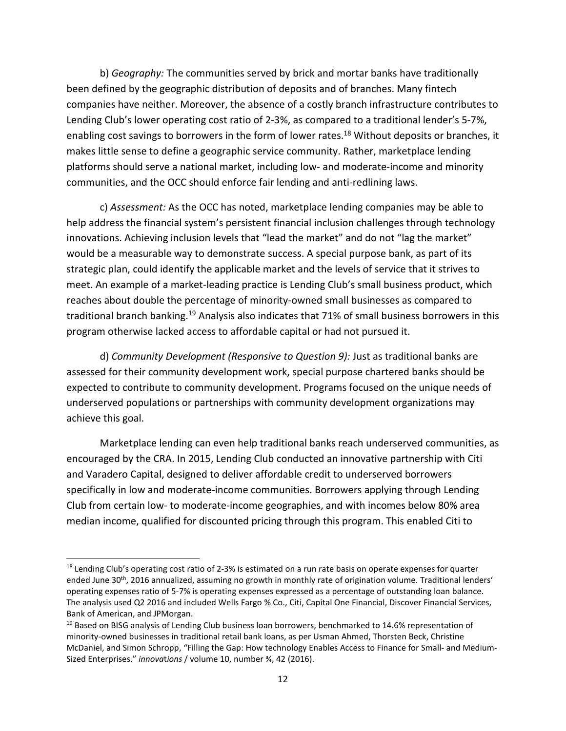b) *Geography:* The communities served by brick and mortar banks have traditionally been defined by the geographic distribution of deposits and of branches. Many fintech companies have neither. Moreover, the absence of a costly branch infrastructure contributes to Lending Club's lower operating cost ratio of 2-3%, as compared to a traditional lender's 5-7%, enabling cost savings to borrowers in the form of lower rates.<sup>18</sup> Without deposits or branches, it makes little sense to define a geographic service community. Rather, marketplace lending platforms should serve a national market, including low- and moderate-income and minority communities, and the OCC should enforce fair lending and anti-redlining laws.

c) *Assessment:* As the OCC has noted, marketplace lending companies may be able to help address the financial system's persistent financial inclusion challenges through technology innovations. Achieving inclusion levels that "lead the market" and do not "lag the market" would be a measurable way to demonstrate success. A special purpose bank, as part of its strategic plan, could identify the applicable market and the levels of service that it strives to meet. An example of a market-leading practice is Lending Club's small business product, which reaches about double the percentage of minority-owned small businesses as compared to traditional branch banking.<sup>19</sup> Analysis also indicates that 71% of small business borrowers in this program otherwise lacked access to affordable capital or had not pursued it.

d) *Community Development (Responsive to Question 9):* Just as traditional banks are assessed for their community development work, special purpose chartered banks should be expected to contribute to community development. Programs focused on the unique needs of underserved populations or partnerships with community development organizations may achieve this goal.

Marketplace lending can even help traditional banks reach underserved communities, as encouraged by the CRA. In 2015, Lending Club conducted an innovative partnership with Citi and Varadero Capital, designed to deliver affordable credit to underserved borrowers specifically in low and moderate-income communities. Borrowers applying through Lending Club from certain low- to moderate-income geographies, and with incomes below 80% area median income, qualified for discounted pricing through this program. This enabled Citi to

<u>.</u>

<sup>&</sup>lt;sup>18</sup> Lending Club's operating cost ratio of 2-3% is estimated on a run rate basis on operate expenses for quarter ended June 30<sup>th</sup>, 2016 annualized, assuming no growth in monthly rate of origination volume. Traditional lenders' operating expenses ratio of 5-7% is operating expenses expressed as a percentage of outstanding loan balance. The analysis used Q2 2016 and included Wells Fargo % Co., Citi, Capital One Financial, Discover Financial Services, Bank of American, and JPMorgan.

<sup>&</sup>lt;sup>19</sup> Based on BISG analysis of Lending Club business loan borrowers, benchmarked to 14.6% representation of minority-owned businesses in traditional retail bank loans, as per Usman Ahmed, Thorsten Beck, Christine McDaniel, and Simon Schropp, "Filling the Gap: How technology Enables Access to Finance for Small- and Medium-Sized Enterprises." *innova*t*ions* / volume 10, number ¾, 42 (2016).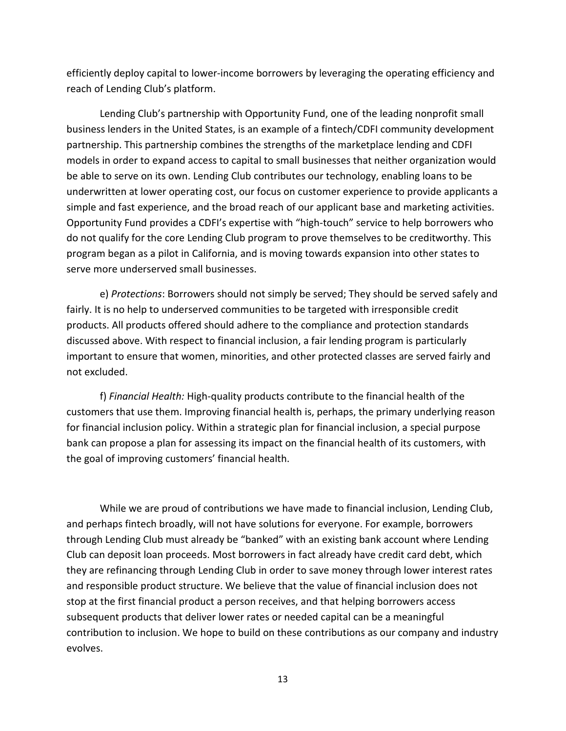efficiently deploy capital to lower-income borrowers by leveraging the operating efficiency and reach of Lending Club's platform.

Lending Club's partnership with Opportunity Fund, one of the leading nonprofit small business lenders in the United States, is an example of a fintech/CDFI community development partnership. This partnership combines the strengths of the marketplace lending and CDFI models in order to expand access to capital to small businesses that neither organization would be able to serve on its own. Lending Club contributes our technology, enabling loans to be underwritten at lower operating cost, our focus on customer experience to provide applicants a simple and fast experience, and the broad reach of our applicant base and marketing activities. Opportunity Fund provides a CDFI's expertise with "high-touch" service to help borrowers who do not qualify for the core Lending Club program to prove themselves to be creditworthy. This program began as a pilot in California, and is moving towards expansion into other states to serve more underserved small businesses.

e) *Protections*: Borrowers should not simply be served; They should be served safely and fairly. It is no help to underserved communities to be targeted with irresponsible credit products. All products offered should adhere to the compliance and protection standards discussed above. With respect to financial inclusion, a fair lending program is particularly important to ensure that women, minorities, and other protected classes are served fairly and not excluded.

f) *Financial Health:* High-quality products contribute to the financial health of the customers that use them. Improving financial health is, perhaps, the primary underlying reason for financial inclusion policy. Within a strategic plan for financial inclusion, a special purpose bank can propose a plan for assessing its impact on the financial health of its customers, with the goal of improving customers' financial health.

While we are proud of contributions we have made to financial inclusion, Lending Club, and perhaps fintech broadly, will not have solutions for everyone. For example, borrowers through Lending Club must already be "banked" with an existing bank account where Lending Club can deposit loan proceeds. Most borrowers in fact already have credit card debt, which they are refinancing through Lending Club in order to save money through lower interest rates and responsible product structure. We believe that the value of financial inclusion does not stop at the first financial product a person receives, and that helping borrowers access subsequent products that deliver lower rates or needed capital can be a meaningful contribution to inclusion. We hope to build on these contributions as our company and industry evolves.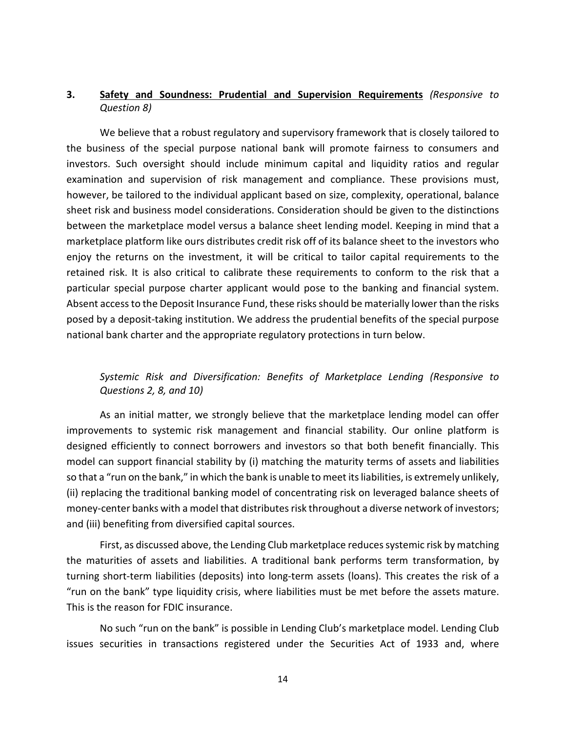## **3. Safety and Soundness: Prudential and Supervision Requirements** *(Responsive to Question 8)*

We believe that a robust regulatory and supervisory framework that is closely tailored to the business of the special purpose national bank will promote fairness to consumers and investors. Such oversight should include minimum capital and liquidity ratios and regular examination and supervision of risk management and compliance. These provisions must, however, be tailored to the individual applicant based on size, complexity, operational, balance sheet risk and business model considerations. Consideration should be given to the distinctions between the marketplace model versus a balance sheet lending model. Keeping in mind that a marketplace platform like ours distributes credit risk off of its balance sheet to the investors who enjoy the returns on the investment, it will be critical to tailor capital requirements to the retained risk. It is also critical to calibrate these requirements to conform to the risk that a particular special purpose charter applicant would pose to the banking and financial system. Absent access to the Deposit Insurance Fund, these risks should be materially lower than the risks posed by a deposit-taking institution. We address the prudential benefits of the special purpose national bank charter and the appropriate regulatory protections in turn below.

## *Systemic Risk and Diversification: Benefits of Marketplace Lending (Responsive to Questions 2, 8, and 10)*

As an initial matter, we strongly believe that the marketplace lending model can offer improvements to systemic risk management and financial stability. Our online platform is designed efficiently to connect borrowers and investors so that both benefit financially. This model can support financial stability by (i) matching the maturity terms of assets and liabilities so that a "run on the bank," in which the bank is unable to meet its liabilities, is extremely unlikely, (ii) replacing the traditional banking model of concentrating risk on leveraged balance sheets of money-center banks with a model that distributes risk throughout a diverse network of investors; and (iii) benefiting from diversified capital sources.

First, as discussed above, the Lending Club marketplace reduces systemic risk by matching the maturities of assets and liabilities. A traditional bank performs term transformation, by turning short-term liabilities (deposits) into long-term assets (loans). This creates the risk of a "run on the bank" type liquidity crisis, where liabilities must be met before the assets mature. This is the reason for FDIC insurance.

No such "run on the bank" is possible in Lending Club's marketplace model. Lending Club issues securities in transactions registered under the Securities Act of 1933 and, where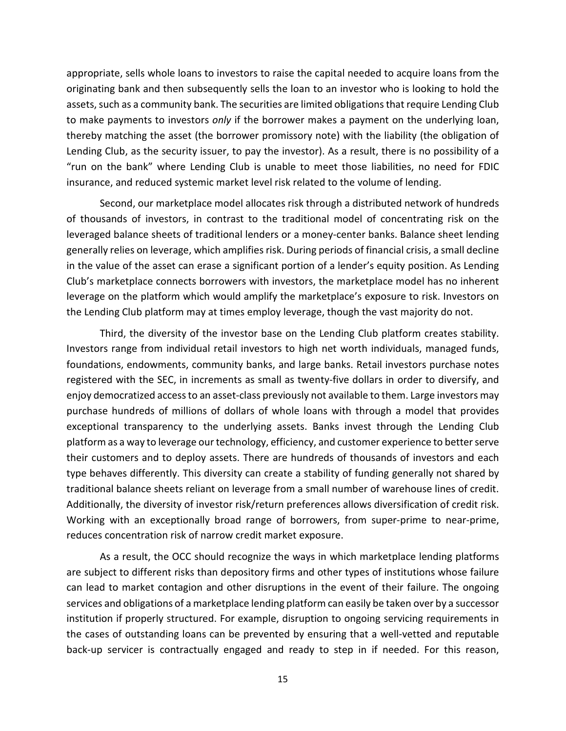appropriate, sells whole loans to investors to raise the capital needed to acquire loans from the originating bank and then subsequently sells the loan to an investor who is looking to hold the assets, such as a community bank. The securities are limited obligations that require Lending Club to make payments to investors *only* if the borrower makes a payment on the underlying loan, thereby matching the asset (the borrower promissory note) with the liability (the obligation of Lending Club, as the security issuer, to pay the investor). As a result, there is no possibility of a "run on the bank" where Lending Club is unable to meet those liabilities, no need for FDIC insurance, and reduced systemic market level risk related to the volume of lending.

Second, our marketplace model allocates risk through a distributed network of hundreds of thousands of investors, in contrast to the traditional model of concentrating risk on the leveraged balance sheets of traditional lenders or a money-center banks. Balance sheet lending generally relies on leverage, which amplifies risk. During periods of financial crisis, a small decline in the value of the asset can erase a significant portion of a lender's equity position. As Lending Club's marketplace connects borrowers with investors, the marketplace model has no inherent leverage on the platform which would amplify the marketplace's exposure to risk. Investors on the Lending Club platform may at times employ leverage, though the vast majority do not.

Third, the diversity of the investor base on the Lending Club platform creates stability. Investors range from individual retail investors to high net worth individuals, managed funds, foundations, endowments, community banks, and large banks. Retail investors purchase notes registered with the SEC, in increments as small as twenty-five dollars in order to diversify, and enjoy democratized access to an asset-class previously not available to them. Large investors may purchase hundreds of millions of dollars of whole loans with through a model that provides exceptional transparency to the underlying assets. Banks invest through the Lending Club platform as a way to leverage our technology, efficiency, and customer experience to better serve their customers and to deploy assets. There are hundreds of thousands of investors and each type behaves differently. This diversity can create a stability of funding generally not shared by traditional balance sheets reliant on leverage from a small number of warehouse lines of credit. Additionally, the diversity of investor risk/return preferences allows diversification of credit risk. Working with an exceptionally broad range of borrowers, from super-prime to near-prime, reduces concentration risk of narrow credit market exposure.

As a result, the OCC should recognize the ways in which marketplace lending platforms are subject to different risks than depository firms and other types of institutions whose failure can lead to market contagion and other disruptions in the event of their failure. The ongoing services and obligations of a marketplace lending platform can easily be taken over by a successor institution if properly structured. For example, disruption to ongoing servicing requirements in the cases of outstanding loans can be prevented by ensuring that a well-vetted and reputable back-up servicer is contractually engaged and ready to step in if needed. For this reason,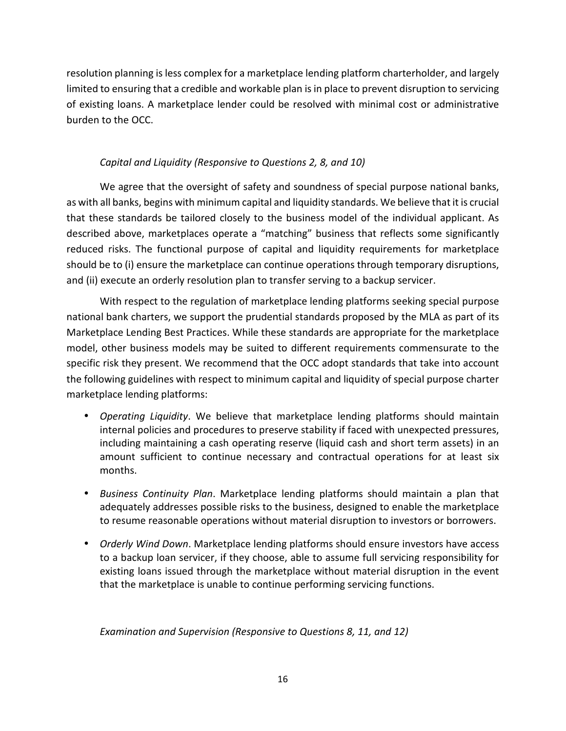resolution planning is less complex for a marketplace lending platform charterholder, and largely limited to ensuring that a credible and workable plan is in place to prevent disruption to servicing of existing loans. A marketplace lender could be resolved with minimal cost or administrative burden to the OCC.

## *Capital and Liquidity (Responsive to Questions 2, 8, and 10)*

We agree that the oversight of safety and soundness of special purpose national banks, as with all banks, begins with minimum capital and liquidity standards. We believe that it is crucial that these standards be tailored closely to the business model of the individual applicant. As described above, marketplaces operate a "matching" business that reflects some significantly reduced risks. The functional purpose of capital and liquidity requirements for marketplace should be to (i) ensure the marketplace can continue operations through temporary disruptions, and (ii) execute an orderly resolution plan to transfer serving to a backup servicer.

With respect to the regulation of marketplace lending platforms seeking special purpose national bank charters, we support the prudential standards proposed by the MLA as part of its Marketplace Lending Best Practices. While these standards are appropriate for the marketplace model, other business models may be suited to different requirements commensurate to the specific risk they present. We recommend that the OCC adopt standards that take into account the following guidelines with respect to minimum capital and liquidity of special purpose charter marketplace lending platforms:

- *Operating Liquidity*. We believe that marketplace lending platforms should maintain internal policies and procedures to preserve stability if faced with unexpected pressures, including maintaining a cash operating reserve (liquid cash and short term assets) in an amount sufficient to continue necessary and contractual operations for at least six months.
- *Business Continuity Plan*. Marketplace lending platforms should maintain a plan that adequately addresses possible risks to the business, designed to enable the marketplace to resume reasonable operations without material disruption to investors or borrowers.
- *Orderly Wind Down*. Marketplace lending platforms should ensure investors have access to a backup loan servicer, if they choose, able to assume full servicing responsibility for existing loans issued through the marketplace without material disruption in the event that the marketplace is unable to continue performing servicing functions.

*Examination and Supervision (Responsive to Questions 8, 11, and 12)*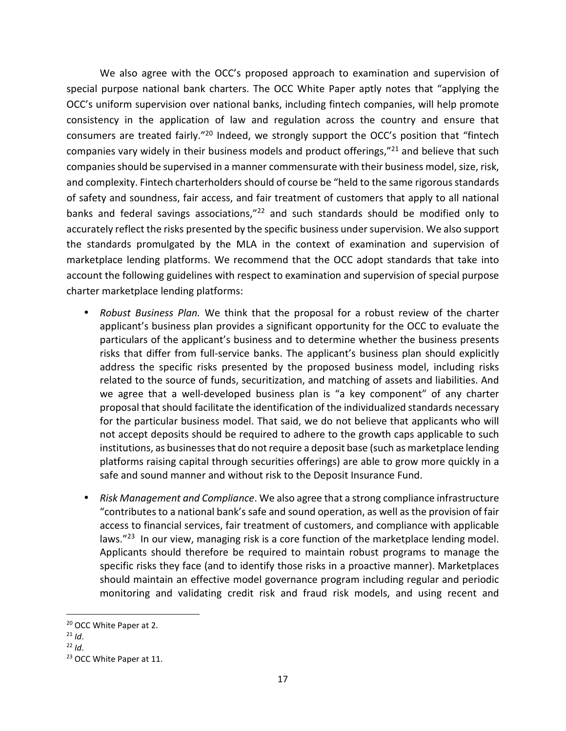We also agree with the OCC's proposed approach to examination and supervision of special purpose national bank charters. The OCC White Paper aptly notes that "applying the OCC's uniform supervision over national banks, including fintech companies, will help promote consistency in the application of law and regulation across the country and ensure that consumers are treated fairly."<sup>20</sup> Indeed, we strongly support the OCC's position that "fintech companies vary widely in their business models and product offerings,"<sup>21</sup> and believe that such companies should be supervised in a manner commensurate with their business model, size, risk, and complexity. Fintech charterholders should of course be "held to the same rigorous standards of safety and soundness, fair access, and fair treatment of customers that apply to all national banks and federal savings associations,"<sup>22</sup> and such standards should be modified only to accurately reflect the risks presented by the specific business under supervision. We also support the standards promulgated by the MLA in the context of examination and supervision of marketplace lending platforms. We recommend that the OCC adopt standards that take into account the following guidelines with respect to examination and supervision of special purpose charter marketplace lending platforms:

- *Robust Business Plan.* We think that the proposal for a robust review of the charter applicant's business plan provides a significant opportunity for the OCC to evaluate the particulars of the applicant's business and to determine whether the business presents risks that differ from full-service banks. The applicant's business plan should explicitly address the specific risks presented by the proposed business model, including risks related to the source of funds, securitization, and matching of assets and liabilities. And we agree that a well-developed business plan is "a key component" of any charter proposal that should facilitate the identification of the individualized standards necessary for the particular business model. That said, we do not believe that applicants who will not accept deposits should be required to adhere to the growth caps applicable to such institutions, as businesses that do not require a deposit base (such as marketplace lending platforms raising capital through securities offerings) are able to grow more quickly in a safe and sound manner and without risk to the Deposit Insurance Fund.
- *Risk Management and Compliance*. We also agree that a strong compliance infrastructure "contributes to a national bank's safe and sound operation, as well as the provision of fair access to financial services, fair treatment of customers, and compliance with applicable laws."<sup>23</sup> In our view, managing risk is a core function of the marketplace lending model. Applicants should therefore be required to maintain robust programs to manage the specific risks they face (and to identify those risks in a proactive manner). Marketplaces should maintain an effective model governance program including regular and periodic monitoring and validating credit risk and fraud risk models, and using recent and

-

<sup>20</sup> OCC White Paper at 2.

 $21$  *Id.* 

 $22$  *Id.* 

<sup>&</sup>lt;sup>23</sup> OCC White Paper at 11.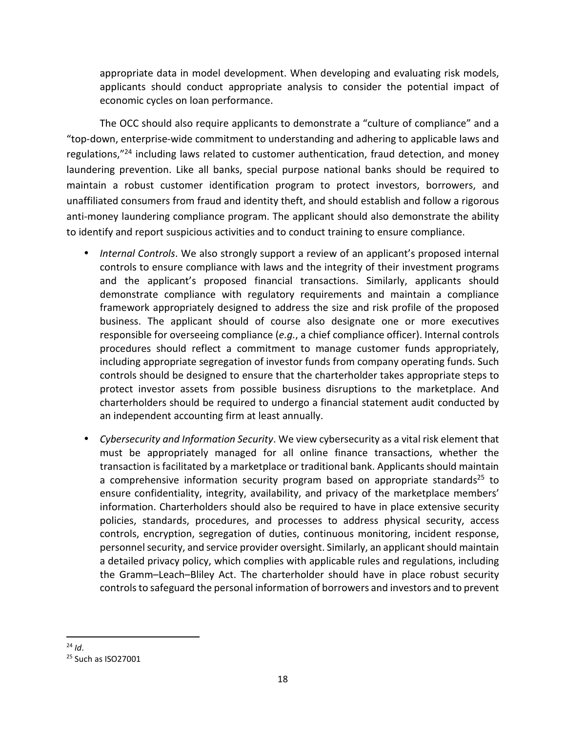appropriate data in model development. When developing and evaluating risk models, applicants should conduct appropriate analysis to consider the potential impact of economic cycles on loan performance.

The OCC should also require applicants to demonstrate a "culture of compliance" and a "top-down, enterprise-wide commitment to understanding and adhering to applicable laws and regulations,"<sup>24</sup> including laws related to customer authentication, fraud detection, and money laundering prevention. Like all banks, special purpose national banks should be required to maintain a robust customer identification program to protect investors, borrowers, and unaffiliated consumers from fraud and identity theft, and should establish and follow a rigorous anti-money laundering compliance program. The applicant should also demonstrate the ability to identify and report suspicious activities and to conduct training to ensure compliance.

- *Internal Controls*. We also strongly support a review of an applicant's proposed internal controls to ensure compliance with laws and the integrity of their investment programs and the applicant's proposed financial transactions. Similarly, applicants should demonstrate compliance with regulatory requirements and maintain a compliance framework appropriately designed to address the size and risk profile of the proposed business. The applicant should of course also designate one or more executives responsible for overseeing compliance (*e.g.*, a chief compliance officer). Internal controls procedures should reflect a commitment to manage customer funds appropriately, including appropriate segregation of investor funds from company operating funds. Such controls should be designed to ensure that the charterholder takes appropriate steps to protect investor assets from possible business disruptions to the marketplace. And charterholders should be required to undergo a financial statement audit conducted by an independent accounting firm at least annually.
- *Cybersecurity and Information Security*. We view cybersecurity as a vital risk element that must be appropriately managed for all online finance transactions, whether the transaction is facilitated by a marketplace or traditional bank. Applicants should maintain a comprehensive information security program based on appropriate standards<sup>25</sup> to ensure confidentiality, integrity, availability, and privacy of the marketplace members' information. Charterholders should also be required to have in place extensive security policies, standards, procedures, and processes to address physical security, access controls, encryption, segregation of duties, continuous monitoring, incident response, personnel security, and service provider oversight. Similarly, an applicant should maintain a detailed privacy policy, which complies with applicable rules and regulations, including the Gramm–Leach–Bliley Act. The charterholder should have in place robust security controls to safeguard the personal information of borrowers and investors and to prevent

<sup>&</sup>lt;u>.</u> <sup>24</sup> *Id*.

<sup>25</sup> Such as ISO27001